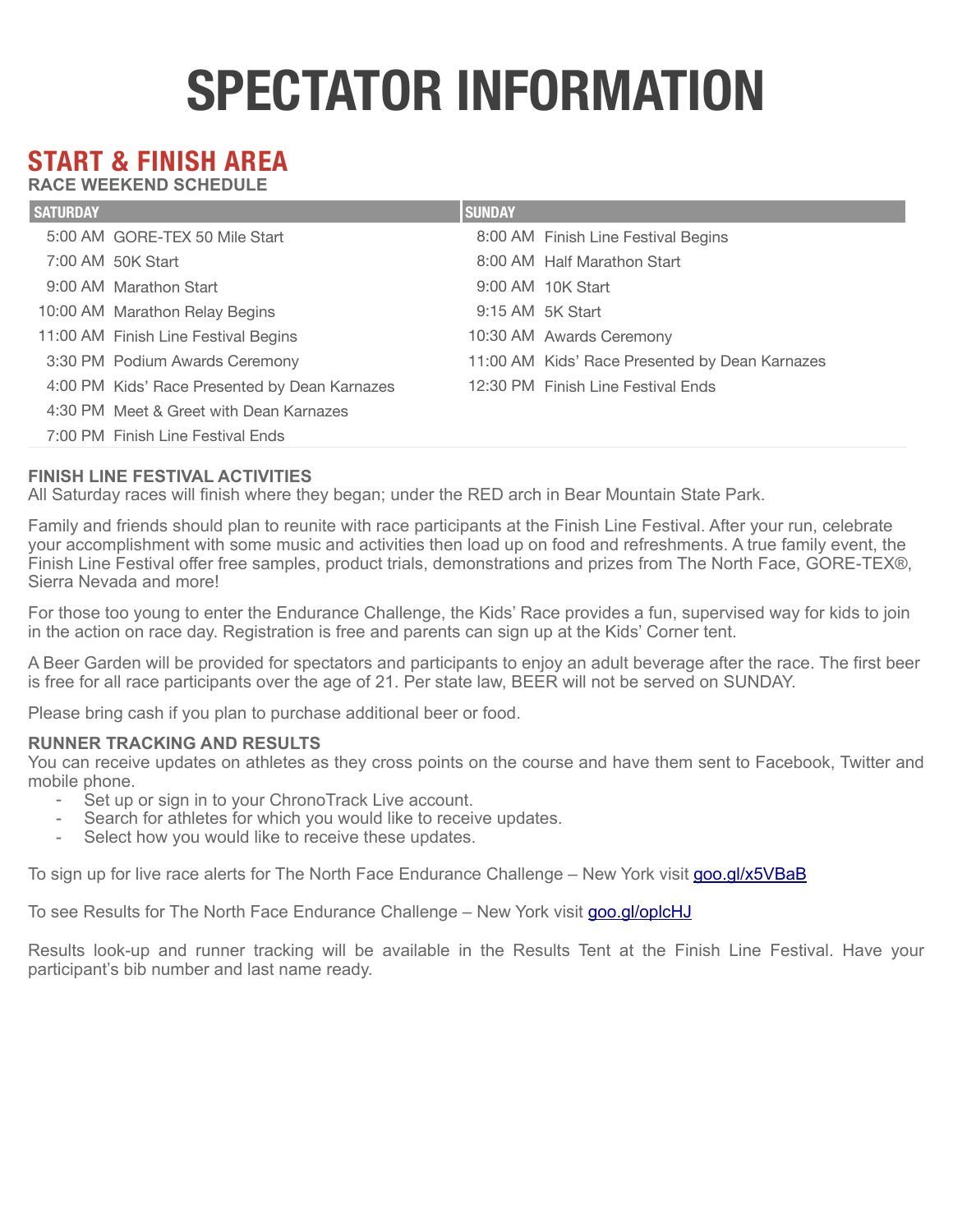# **SPECTATOR INFORMATION**

# **START & FINISH AREA**

**RACE WEEKEND SCHEDULE** 

| <b>SATURDAY</b> |                                               | <b>SUNDAY</b> |                                                |
|-----------------|-----------------------------------------------|---------------|------------------------------------------------|
|                 | 5:00 AM GORE-TEX 50 Mile Start                |               | 8:00 AM Finish Line Festival Begins            |
|                 | 7:00 AM 50K Start                             |               | 8:00 AM Half Marathon Start                    |
|                 | 9:00 AM Marathon Start                        |               | 9:00 AM 10K Start                              |
|                 | 10:00 AM Marathon Relay Begins                |               | 9:15 AM 5K Start                               |
|                 | 11:00 AM Finish Line Festival Begins          |               | 10:30 AM Awards Ceremony                       |
|                 | 3:30 PM Podium Awards Ceremony                |               | 11:00 AM Kids' Race Presented by Dean Karnazes |
|                 | 4:00 PM Kids' Race Presented by Dean Karnazes |               | 12:30 PM Finish Line Festival Ends             |
|                 | 4:30 PM Meet & Greet with Dean Karnazes       |               |                                                |
|                 | 7:00 PM Finish Line Festival Ends             |               |                                                |

# **FINISH LINE FESTIVAL ACTIVITIES**

All Saturday races will finish where they began; under the RED arch in Bear Mountain State Park.

Family and friends should plan to reunite with race participants at the Finish Line Festival. After your run, celebrate your accomplishment with some music and activities then load up on food and refreshments. A true family event, the Finish Line Festival offer free samples, product trials, demonstrations and prizes from The North Face, GORE-TEX®, Sierra Nevada and more!

For those too young to enter the Endurance Challenge, the Kids' Race provides a fun, supervised way for kids to join in the action on race day. Registration is free and parents can sign up at the Kids' Corner tent.

A Beer Garden will be provided for spectators and participants to enjoy an adult beverage after the race. The first beer is free for all race participants over the age of 21. Per state law, BEER will not be served on SUNDAY.

Please bring cash if you plan to purchase additional beer or food.

#### **RUNNER TRACKING AND RESULTS**

You can receive updates on athletes as they cross points on the course and have them sent to Facebook, Twitter and mobile phone.

- Set up or sign in to your ChronoTrack Live account.
- Search for athletes for which you would like to receive updates.
- Select how you would like to receive these updates.

To sign up for live race alerts for The North Face Endurance Challenge – New York visit [goo.gl/x5VBaB](http://goo.gl/x5VBaB)

To see Results for The North Face Endurance Challenge – New York visit [goo.gl/oplcHJ](http://goo.gl/oplcHJ)

Results look-up and runner tracking will be available in the Results Tent at the Finish Line Festival. Have your participant's bib number and last name ready.